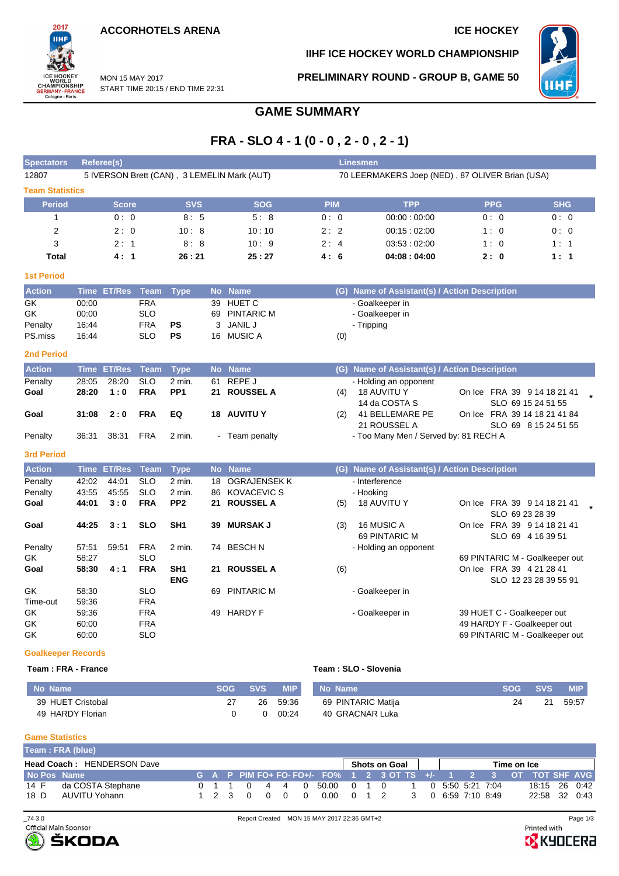START TIME 20:15 / END TIME 22:31

MON 15 MAY 2017



## **IIHF ICE HOCKEY WORLD CHAMPIONSHIP**

**PRELIMINARY ROUND - GROUP B, GAME 50**



## **GAME SUMMARY**

## **FRA - SLO 4 - 1 (0 - 0 , 2 - 0 , 2 - 1)**

| <b>Spectators</b>         |                | <b>Referee(s)</b> |                          |                 |           |                                             |     | <b>Linesmen</b>                                 |            |                                                            |  |  |  |  |  |  |  |
|---------------------------|----------------|-------------------|--------------------------|-----------------|-----------|---------------------------------------------|-----|-------------------------------------------------|------------|------------------------------------------------------------|--|--|--|--|--|--|--|
| 12807                     |                |                   |                          |                 |           | 5 IVERSON Brett (CAN), 3 LEMELIN Mark (AUT) |     | 70 LEERMAKERS Joep (NED), 87 OLIVER Brian (USA) |            |                                                            |  |  |  |  |  |  |  |
| <b>Team Statistics</b>    |                |                   |                          |                 |           |                                             |     |                                                 |            |                                                            |  |  |  |  |  |  |  |
| <b>Period</b>             |                | <b>Score</b>      |                          | <b>SVS</b>      |           | <b>SOG</b>                                  | PIM | <b>TPP</b>                                      | <b>PPG</b> | <b>SHG</b>                                                 |  |  |  |  |  |  |  |
| 1                         |                | 0:0               |                          | 8:5             |           | 5:8                                         | 0:0 | 00:00:00:00                                     | 0:0        | 0:0                                                        |  |  |  |  |  |  |  |
| 2                         |                | 2:0               |                          | 10:8            |           | 10:10                                       | 2:2 | 00:15:02:00                                     | 1:0        | 0:0                                                        |  |  |  |  |  |  |  |
| 3                         |                | 2:1               |                          | 8:8             |           | 10:9                                        | 2:4 | 03:53:02:00                                     | 1:0        | 1:1                                                        |  |  |  |  |  |  |  |
| Total                     |                | 4:1               |                          | 26:21           |           | 25:27                                       | 4:6 | 04:08:04:00                                     | 2:0        | 1:1                                                        |  |  |  |  |  |  |  |
| <b>1st Period</b>         |                |                   |                          |                 |           |                                             |     |                                                 |            |                                                            |  |  |  |  |  |  |  |
| <b>Action</b>             |                | Time ET/Res       | Team                     | <b>Type</b>     |           | No Name                                     |     | (G) Name of Assistant(s) / Action Description   |            |                                                            |  |  |  |  |  |  |  |
| GK                        | 00:00          |                   | <b>FRA</b>               |                 | 39        | <b>HUET C</b>                               |     | - Goalkeeper in                                 |            |                                                            |  |  |  |  |  |  |  |
| GK                        | 00:00          |                   | <b>SLO</b>               |                 | 69        | <b>PINTARIC M</b>                           |     | - Goalkeeper in                                 |            |                                                            |  |  |  |  |  |  |  |
| Penalty                   | 16:44          |                   | <b>FRA</b>               | PS              | 3         | <b>JANIL J</b>                              |     | - Tripping                                      |            |                                                            |  |  |  |  |  |  |  |
| PS.miss                   | 16:44          |                   | <b>SLO</b>               | PS              |           | 16 MUSIC A                                  | (0) |                                                 |            |                                                            |  |  |  |  |  |  |  |
| <b>2nd Period</b>         |                |                   |                          |                 |           |                                             |     |                                                 |            |                                                            |  |  |  |  |  |  |  |
| <b>Action</b>             | <b>Time</b>    | <b>ET/Res</b>     | <b>Team</b>              | <b>Type</b>     | <b>No</b> | <b>Name</b>                                 |     | (G) Name of Assistant(s) / Action Description   |            |                                                            |  |  |  |  |  |  |  |
| Penalty                   | 28:05          | 28:20             | <b>SLO</b>               | $2$ min.        | 61        | REPE J                                      |     | - Holding an opponent                           |            |                                                            |  |  |  |  |  |  |  |
| Goal                      | 28:20          | 1:0               | <b>FRA</b>               | PP <sub>1</sub> | 21        | <b>ROUSSEL A</b>                            | (4) | 18 AUVITU Y                                     |            | On Ice FRA 39 9 14 18 21 41                                |  |  |  |  |  |  |  |
|                           |                |                   |                          |                 |           |                                             |     | 14 da COSTA S                                   |            | SLO 69 15 24 51 55                                         |  |  |  |  |  |  |  |
| Goal                      | 31:08          | 2:0               | <b>FRA</b>               | EQ              |           | <b>18 AUVITU Y</b>                          | (2) | 41 BELLEMARE PE                                 |            | On Ice FRA 39 14 18 21 41 84                               |  |  |  |  |  |  |  |
|                           |                |                   |                          |                 |           |                                             |     | 21 ROUSSEL A                                    |            | SLO 69 8 15 24 51 55                                       |  |  |  |  |  |  |  |
| Penalty                   | 36:31          | 38:31             | <b>FRA</b>               | $2$ min.        |           | - Team penalty                              |     | - Too Many Men / Served by: 81 RECH A           |            |                                                            |  |  |  |  |  |  |  |
| <b>3rd Period</b>         |                |                   |                          |                 |           |                                             |     |                                                 |            |                                                            |  |  |  |  |  |  |  |
| <b>Action</b>             | <b>Time</b>    | <b>ET/Res</b>     | <b>Team</b>              | <b>Type</b>     | <b>No</b> | <b>Name</b>                                 |     | (G) Name of Assistant(s) / Action Description   |            |                                                            |  |  |  |  |  |  |  |
| Penalty                   | 42:02          | 44:01             | <b>SLO</b>               | 2 min.          | 18        | <b>OGRAJENSEK K</b>                         |     | - Interference                                  |            |                                                            |  |  |  |  |  |  |  |
| Penalty                   | 43:55          | 45:55             | <b>SLO</b>               | 2 min.          | 86        | <b>KOVACEVIC S</b>                          |     | - Hooking                                       |            |                                                            |  |  |  |  |  |  |  |
| Goal                      | 44:01          | 3:0               | <b>FRA</b>               | PP <sub>2</sub> | 21        | <b>ROUSSEL A</b>                            | (5) | <b>18 AUVITU Y</b>                              |            | On Ice FRA 39 9 14 18 21 41                                |  |  |  |  |  |  |  |
|                           |                |                   |                          |                 |           |                                             |     |                                                 |            | SLO 69 23 28 39                                            |  |  |  |  |  |  |  |
| Goal                      | 44:25          | 3:1               | <b>SLO</b>               | SH <sub>1</sub> | 39        | <b>MURSAK J</b>                             | (3) | 16 MUSIC A                                      |            | On Ice FRA 39 9 14 18 21 41                                |  |  |  |  |  |  |  |
|                           |                |                   |                          |                 |           |                                             |     | 69 PINTARIC M                                   |            | SLO 69 4 16 39 51                                          |  |  |  |  |  |  |  |
| Penalty                   | 57:51          | 59:51             | <b>FRA</b><br><b>SLO</b> | 2 min.          |           | 74 BESCHN                                   |     | - Holding an opponent                           |            |                                                            |  |  |  |  |  |  |  |
| GK<br>Goal                | 58:27<br>58:30 | 4:1               | <b>FRA</b>               | SH <sub>1</sub> |           | 21 ROUSSEL A                                |     |                                                 |            | 69 PINTARIC M - Goalkeeper out<br>On Ice FRA 39 4 21 28 41 |  |  |  |  |  |  |  |
|                           |                |                   |                          | <b>ENG</b>      |           |                                             | (6) |                                                 |            | SLO 12 23 28 39 55 91                                      |  |  |  |  |  |  |  |
| GK                        | 58:30          |                   | <b>SLO</b>               |                 | 69        | <b>PINTARIC M</b>                           |     | - Goalkeeper in                                 |            |                                                            |  |  |  |  |  |  |  |
| Time-out                  | 59:36          |                   | <b>FRA</b>               |                 |           |                                             |     |                                                 |            |                                                            |  |  |  |  |  |  |  |
| GK                        | 59:36          |                   | <b>FRA</b>               |                 | 49        | <b>HARDY F</b>                              |     | - Goalkeeper in                                 |            | 39 HUET C - Goalkeeper out                                 |  |  |  |  |  |  |  |
| GK                        | 60:00          |                   | <b>FRA</b>               |                 |           |                                             |     |                                                 |            | 49 HARDY F - Goalkeeper out                                |  |  |  |  |  |  |  |
| GK                        | 60:00          |                   | <b>SLO</b>               |                 |           |                                             |     |                                                 |            | 69 PINTARIC M - Goalkeeper out                             |  |  |  |  |  |  |  |
| <b>Goalkeeper Records</b> |                |                   |                          |                 |           |                                             |     |                                                 |            |                                                            |  |  |  |  |  |  |  |

### **Team : FRA - France Team : SLO - Slovenia**

| No Name           | SOG SVS | <b>MIP</b> | No Name            | <b>SOG</b> | <b>SVS</b> | <b>MIP</b> |
|-------------------|---------|------------|--------------------|------------|------------|------------|
| 39 HUET Cristobal | 26      | 59.36      | 69 PINTARIC Matija | 24         | 21         | 59:57      |
| 49 HARDY Florian  |         | 00.24      | 40 GRACNAR Luka    |            |            |            |

#### **Game Statistics**

|      | Team: FRA (blue)                  |  |  |  |                                |                                                                  |  |  |  |  |  |  |  |  |               |  |
|------|-----------------------------------|--|--|--|--------------------------------|------------------------------------------------------------------|--|--|--|--|--|--|--|--|---------------|--|
|      | <b>Head Coach: HENDERSON Dave</b> |  |  |  | Shots on Goal  <br>Time on Ice |                                                                  |  |  |  |  |  |  |  |  |               |  |
|      | No Pos Name                       |  |  |  |                                | G A P PIM FO+ FO- FO+/- FO% 1 2 3 OT TS +/- 1 2 3 OT TOT SHE AVG |  |  |  |  |  |  |  |  |               |  |
| 14 F | da COSTA Stephane                 |  |  |  |                                | 0 1 1 0 4 4 0 50.00 0 1 0 1 0 5:50 5:21 7:04                     |  |  |  |  |  |  |  |  | 18:15 26 0:42 |  |
| 18 D | AUVITU Yohann                     |  |  |  |                                | 1 2 3 0 0 0 0 0 0 0 1 2 3 0 6:59 7:10 8:49                       |  |  |  |  |  |  |  |  | 22:58 32 0:43 |  |



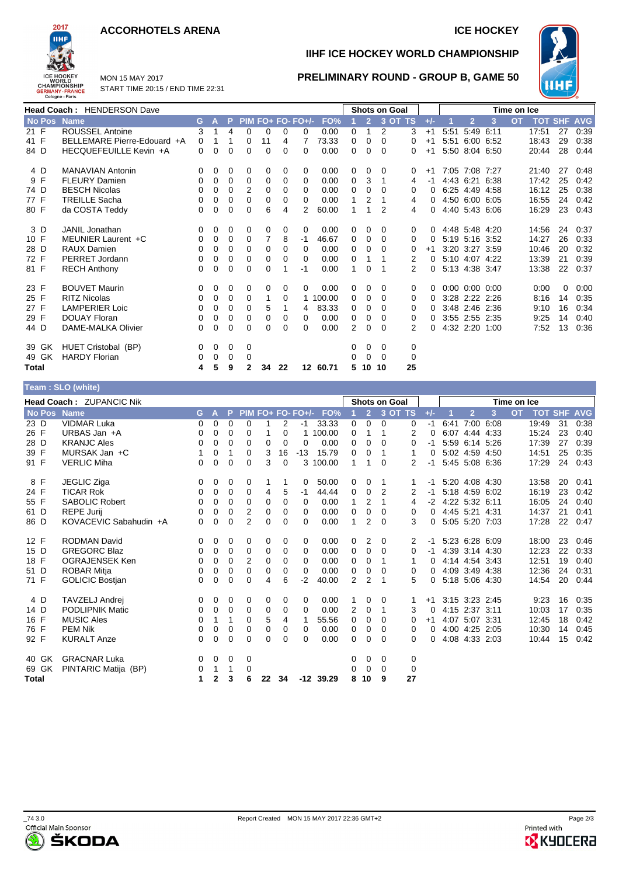## **ACCORHOTELS ARENA ICE HOCKEY**



MON 15 MAY 2017

## START TIME 20:15 / END TIME 22:31

# **IIHF ICE HOCKEY WORLD CHAMPIONSHIP**



**PRELIMINARY ROUND - GROUP B, GAME 50**

| <b>Head Coach: HENDERSON Dave</b> |                             |          |          |             |              |          |          | <b>Shots on Goal</b> |          |   |                | Time on Ice |         |       |      |                |                      |           |                |    |            |
|-----------------------------------|-----------------------------|----------|----------|-------------|--------------|----------|----------|----------------------|----------|---|----------------|-------------|---------|-------|------|----------------|----------------------|-----------|----------------|----|------------|
| No Pos Name                       |                             | G.       | А        | P           |              |          |          | $PIM FO+FO-FO+/-$    | FO%      |   | $\overline{2}$ |             | 3 OT TS | $+/-$ |      | $\overline{2}$ | 3                    | <b>OT</b> | <b>TOT SHF</b> |    | <b>AVG</b> |
| 21 F                              | <b>ROUSSEL Antoine</b>      | 3        |          | 4           | $\Omega$     | 0        | $\Omega$ | 0                    | 0.00     | 0 |                | 2           | 3       | $+1$  | 5:51 | 5:49 6:11      |                      |           | 17:51          | 27 | 0:39       |
| 41 F                              | BELLEMARE Pierre-Edouard +A | 0        |          |             | 0            | 11       | 4        | 7                    | 73.33    | 0 | 0              | $\Omega$    | 0       | $+1$  | 5:51 |                | 6:00 6:52            |           | 18:43          | 29 | 0:38       |
| 84 D                              | HECQUEFEUILLE Kevin +A      | 0        | 0        | $\Omega$    | $\Omega$     | 0        | 0        | 0                    | 0.00     | 0 | 0              | $\Omega$    | 0       | $+1$  |      |                | 5:50 8:04 6:50       |           | 20:44          | 28 | 0:44       |
| 4 D                               | <b>MANAVIAN Antonin</b>     | 0        | 0        | 0           | 0            | 0        | 0        | 0                    | 0.00     | 0 | 0              | 0           | 0       | $+1$  |      | 7:05 7:08 7:27 |                      |           | 21:40          | 27 | 0:48       |
| 9 F                               | <b>FLEURY Damien</b>        | 0        | 0        | 0           | 0            | 0        | 0        | 0                    | 0.00     | 0 | 3              |             | 4       | $-1$  |      |                | 4:43 6:21 6:38       |           | 17:42          | 25 | 0:42       |
| 74 D                              | <b>BESCH Nicolas</b>        | 0        | 0        | $\mathbf 0$ | 2            | 0        | 0        | 0                    | 0.00     | 0 | 0              | 0           | 0       |       |      |                | 6:25 4:49 4:58       |           | 16:12          | 25 | 0:38       |
| 77 F                              | <b>TREILLE Sacha</b>        | 0        | $\Omega$ | $\Omega$    | 0            | 0        | 0        | 0                    | 0.00     |   | 2              |             | 4       | 0     |      |                | 4:50 6:00 6:05       |           | 16:55          | 24 | 0:42       |
| 80 F                              | da COSTA Teddy              | 0        | 0        | $\Omega$    | 0            | 6        | 4        | 2                    | 60.00    | 1 |                | 2           | 4       | 0     |      |                | 4:40 5:43 6:06       |           | 16:29          | 23 | 0:43       |
| 3 D                               | <b>JANIL Jonathan</b>       | 0        | 0        | 0           | 0            | 0        | 0        | 0                    | 0.00     | 0 | 0              | 0           | 0       | 0     |      |                | 4:48 5:48 4:20       |           | 14:56          | 24 | 0:37       |
| 10 F                              | MEUNIER Laurent +C          | 0        | 0        | $\mathbf 0$ | 0            | 7        | 8        | $-1$                 | 46.67    | 0 | 0              | $\Omega$    | 0       | 0     |      |                | 5:19 5:16 3:52       |           | 14:27          | 26 | 0:33       |
| 28 D                              | <b>RAUX Damien</b>          | 0        | 0        | $\Omega$    | 0            | 0        | 0        | 0                    | 0.00     | 0 | 0              | 0           | 0       | $+1$  |      |                | 3:20 3:27 3:59       |           | 10:46          | 20 | 0:32       |
| 72 F                              | PERRET Jordann              | 0        | 0        | 0           | 0            | 0        | 0        | 0                    | 0.00     | 0 |                |             | 2       | 0     |      |                | 5:10 4:07 4:22       |           | 13:39          | 21 | 0:39       |
| 81 F                              | <b>RECH Anthony</b>         | 0        | 0        | 0           | 0            | 0        |          | -1                   | 0.00     |   | 0              |             | 2       |       |      |                | 5:13 4:38 3:47       |           | 13:38          | 22 | 0:37       |
| 23 F                              | <b>BOUVET Maurin</b>        | 0        | 0        | 0           | 0            | 0        | 0        | 0                    | 0.00     | 0 | 0              | 0           | 0       | 0     |      |                | $0:00$ $0:00$ $0:00$ |           | 0:00           | 0  | 0:00       |
| 25 F                              | <b>RITZ Nicolas</b>         | $\Omega$ | $\Omega$ | 0           | $\Omega$     | 1        | 0        |                      | 1 100.00 | 0 | 0              | $\Omega$    | 0       | 0     |      |                | 3:28 2:22 2:26       |           | 8:16           | 14 | 0:35       |
| 27 F                              | <b>LAMPERIER Loic</b>       | 0        | 0        | 0           | 0            | 5        |          | 4                    | 83.33    | 0 | 0              | 0           | 0       |       |      |                | 3:48 2:46 2:36       |           | 9:10           | 16 | 0:34       |
| 29 F                              | <b>DOUAY Floran</b>         | 0        | 0        | 0           | 0            | 0        | 0        | 0                    | 0.00     | 0 | 0              | 0           | 0       |       |      |                | 3:55 2:55 2:35       |           | 9:25           | 14 | 0:40       |
| 44 D                              | DAME-MALKA Olivier          | 0        | 0        | $\Omega$    | $\Omega$     | $\Omega$ | 0        | 0                    | 0.00     | 2 | 0              | $\Omega$    | 2       |       |      |                | 4:32 2:20 1:00       |           | 7:52           | 13 | 0:36       |
| 39 GK                             | HUET Cristobal (BP)         | 0        | 0        | 0           | 0            |          |          |                      |          | 0 | 0              | $\Omega$    | 0       |       |      |                |                      |           |                |    |            |
| 49 GK                             | <b>HARDY Florian</b>        | 0        | 0        | 0           | 0            |          |          |                      |          | 0 | 0              | $\Omega$    | 0       |       |      |                |                      |           |                |    |            |
| Total                             |                             | 4        | 5        | 9           | $\mathbf{2}$ | 34       | 22       |                      | 12 60.71 | 5 | 10             | 10          | 25      |       |      |                |                      |           |                |    |            |
|                                   | Team: SLO (white)           |          |          |             |              |          |          |                      |          |   |                |             |         |       |      |                |                      |           |                |    |            |

|                  | <b>Head Coach: ZUPANCIC Nik</b> |    |          |          |                |    |             |                   |             | <b>Shots on Goal</b><br>Time on Ice |                |          |         |       |           |                |      |           |            |            |            |
|------------------|---------------------------------|----|----------|----------|----------------|----|-------------|-------------------|-------------|-------------------------------------|----------------|----------|---------|-------|-----------|----------------|------|-----------|------------|------------|------------|
| No Pos           | <b>Name</b>                     | G. | A        | P.       |                |    |             | PIM FO+ FO- FO+/- | FO%         |                                     | $\overline{2}$ |          | 3 OT TS | $+/-$ |           | $\overline{2}$ | 3    | <b>OT</b> | <b>TOT</b> | <b>SHF</b> | <b>AVG</b> |
| $23\overline{D}$ | <b>VIDMAR Luka</b>              | 0  | 0        | 0        | $\mathbf 0$    |    | 2           | -1                | 33.33       | 0                                   | 0              | $\Omega$ | 0       | -1    | 6:41      | 7:00           | 6:08 |           | 19:49      | 31         | 0:38       |
| 26 F             | URBAS Jan +A                    | 0  | 0        | $\Omega$ | 0              |    | 0           |                   | 100.00      | 0                                   | 1              | 1        | 2       | 0     |           | 6:07 4:44 4:33 |      |           | 15:24      | 23         | 0:40       |
| 28 D             | <b>KRANJC Ales</b>              | 0  | 0        | 0        | $\mathbf 0$    | 0  | $\mathbf 0$ | 0                 | 0.00        | 0                                   | 0              | 0        | 0       | -1    |           | 5:59 6:14      | 5:26 |           | 17:39      | 27         | 0:39       |
| 39 F             | MURSAK Jan +C                   | 1  | 0        | 1        | 0              | 3  | 16          | $-13$             | 15.79       | 0                                   | 0              | 1        | 1       | 0     |           | 5:02 4:59 4:50 |      |           | 14:51      | 25         | 0:35       |
| 91 F             | <b>VERLIC Miha</b>              | 0  | 0        | 0        | 0              | 3  | $\mathbf 0$ | 3                 | 100.00      | 1                                   | 1              | 0        | 2       | -1    |           | 5:45 5:08 6:36 |      |           | 17:29      | 24         | 0:43       |
| 8 F              | JEGLIC Ziga                     | 0  | 0        | 0        | 0              |    |             | 0                 | 50.00       | 0                                   | 0              | 1        |         | $-1$  |           | 5:20 4:08 4:30 |      |           | 13:58      | 20         | 0:41       |
| 24 F             | <b>TICAR Rok</b>                | 0  | 0        | $\Omega$ | $\mathbf 0$    | 4  | 5           | -1                | 44.44       | 0                                   | 0              | 2        | 2       | $-1$  |           | 5:18 4:59 6:02 |      |           | 16:19      | 23         | 0:42       |
| 55 F             | <b>SABOLIC Robert</b>           | 0  | 0        | 0        | 0              | 0  | $\mathbf 0$ | 0                 | 0.00        | 1                                   | 2              | 1        | 4       | $-2$  |           | 4:22 5:32 6:11 |      |           | 16:05      | 24         | 0:40       |
| 61 D             | <b>REPE Jurij</b>               | 0  | 0        | 0        | 2              | 0  | 0           | 0                 | 0.00        | 0                                   | 0              | 0        | 0       | 0     | 4:45 5:21 |                | 4:31 |           | 14:37      | 21         | 0:41       |
| 86 D             | KOVACEVIC Sabahudin +A          | 0  | 0        | 0        | $\overline{2}$ | 0  | $\Omega$    | 0                 | 0.00        | 1                                   | 2              | $\Omega$ | 3       | 0     |           | 5:05 5:20 7:03 |      |           | 17:28      | 22         | 0:47       |
| 12 F             | <b>RODMAN David</b>             | 0  | 0        | 0        | 0              | 0  | 0           | 0                 | 0.00        | 0                                   | 2              | $\Omega$ | 2       | -1    |           | 5:23 6:28 6:09 |      |           | 18:00      | 23         | 0:46       |
| 15 D             | <b>GREGORC Blaz</b>             | 0  | 0        | 0        | 0              | 0  | 0           | 0                 | 0.00        | 0                                   | 0              | $\Omega$ | 0       | $-1$  |           | 4:39 3:14 4:30 |      |           | 12:23      | 22         | 0:33       |
| 18 F             | OGRAJENSEK Ken                  | 0  | 0        | 0        | $\overline{2}$ | 0  | 0           | 0                 | 0.00        | 0                                   | 0              | 1        |         | 0     |           | 4:14 4:54 3:43 |      |           | 12:51      | 19         | 0:40       |
| 51 D             | ROBAR Mitja                     | 0  | 0        | 0        | $\Omega$       | 0  | 0           | 0                 | 0.00        | 0                                   | 0              | 0        | 0       | 0     |           | 4:09 3:49 4:38 |      |           | 12:36      | 24         | 0:31       |
| 71 F             | <b>GOLICIC Bostjan</b>          | 0  | 0        | 0        | 0              | 4  | 6           | -2                | 40.00       | 2                                   | 2              | 1        | 5       | 0     |           | 5:18 5:06 4:30 |      |           | 14:54      | 20         | 0:44       |
| 4 D              | TAVZELJ Andrej                  | 0  | 0        | 0        | 0              | 0  | 0           | 0                 | 0.00        |                                     | 0              | 0        |         | $+1$  |           | 3:15 3:23 2:45 |      |           | 9:23       | 16         | 0:35       |
| 14 D             | <b>PODLIPNIK Matic</b>          | 0  | 0        | 0        | 0              | 0  | 0           | 0                 | 0.00        | 2                                   | 0              | 1        | 3       | 0     |           | 4:15 2:37 3:11 |      |           | 10:03      | 17         | 0:35       |
| 16 F             | <b>MUSIC Ales</b>               | 0  | 1        | 1        | $\mathbf 0$    | 5  | 4           |                   | 55.56       | 0                                   | 0              | $\Omega$ | 0       | $+1$  |           | 4:07 5:07 3:31 |      |           | 12:45      | 18         | 0:42       |
| 76 F             | <b>PEM Nik</b>                  | 0  | 0        | 0        | 0              | 0  | 0           | 0                 | 0.00        | 0                                   | 0              | $\Omega$ | 0       | 0     |           | 4:00 4:25 2:05 |      |           | 10:30      | 14         | 0:45       |
| 92 F             | <b>KURALT Anze</b>              | 0  | $\Omega$ | $\Omega$ | $\Omega$       | 0  | $\Omega$    | 0                 | 0.00        | 0                                   | $\Omega$       | $\Omega$ | 0       | 0     |           | 4:08 4:33 2:03 |      |           | 10:44      | 15         | 0:42       |
| 40 GK            | <b>GRACNAR Luka</b>             | 0  | 0        | 0        | 0              |    |             |                   |             | 0                                   | 0              | 0        | 0       |       |           |                |      |           |            |            |            |
| 69 GK            | PINTARIC Matija (BP)            | 0  | 1        | 1        | 0              |    |             |                   |             | 0                                   | $\Omega$       | $\Omega$ | 0       |       |           |                |      |           |            |            |            |
| <b>Total</b>     |                                 | 1  | 2        | 3        | 6              | 22 | 34          |                   | $-12$ 39.29 | 8                                   | 10             | 9        | 27      |       |           |                |      |           |            |            |            |